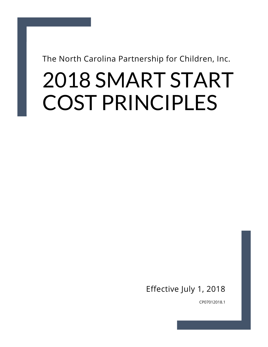The North Carolina Partnership for Children, Inc.

DRAFT

# 2018 SMART START COST PRINCIPLES

Effective July 1, 2018

CP07012018.1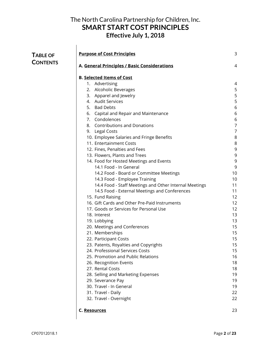|   | <b>Purpose of Cost Principles</b>                      | 3              |
|---|--------------------------------------------------------|----------------|
| S | A. General Principles / Basic Considerations           | 4              |
|   | <b>B. Selected Items of Cost</b>                       |                |
|   | 1. Advertising                                         | 4              |
|   | 2. Alcoholic Beverages                                 | 5              |
|   | 3. Apparel and Jewelry                                 | 5              |
|   | 4. Audit Services                                      | 5              |
|   | 5. Bad Debts                                           | 6              |
|   | 6. Capital and Repair and Maintenance                  | 6              |
|   | 7. Condolences                                         | 6              |
|   | 8. Contributions and Donations                         | $\overline{7}$ |
|   | 9. Legal Costs                                         | $\overline{7}$ |
|   | 10. Employee Salaries and Fringe Benefits              | 8              |
|   | 11. Entertainment Costs                                | 8              |
|   | 12. Fines, Penalties and Fees                          | 9              |
|   | 13. Flowers, Plants and Trees                          | 9              |
|   | 14. Food for Hosted Meetings and Events                | 9              |
|   | 14.1 Food - In General                                 | 9              |
|   | 14.2 Food - Board or Committee Meetings                | 10             |
|   | 14.3 Food - Employee Training                          | 10             |
|   | 14.4 Food - Staff Meetings and Other Internal Meetings | 11             |
|   | 14.5 Food - External Meetings and Conferences          | 11             |
|   | 15. Fund Raising                                       | 12             |
|   | 16. Gift Cards and Other Pre-Paid Instruments          | 12             |
|   | 17. Goods or Services for Personal Use                 | 12             |
|   | 18. Interest                                           | 13             |
|   | 19. Lobbying                                           | 13             |
|   | 20. Meetings and Conferences                           | 15             |
|   | 21. Memberships                                        | 15             |
|   | 22. Participant Costs                                  | 15             |
|   | 23. Patents, Royalties and Copyrights                  | 15             |
|   | 24. Professional Services Costs                        | 15             |
|   | 25. Promotion and Public Relations                     | 16             |
|   | 26. Recognition Events                                 | 18             |
|   | 27. Rental Costs                                       | 18             |
|   | 28. Selling and Marketing Expenses                     | 19             |
|   | 29. Severance Pay                                      | 19             |
|   | 30. Travel - In General                                | 19             |
|   | 31. Travel - Daily                                     | 22             |
|   | 32. Travel - Overnight                                 | 22             |
|   | C. Resources                                           | 23             |

 $\overline{\phantom{a}}$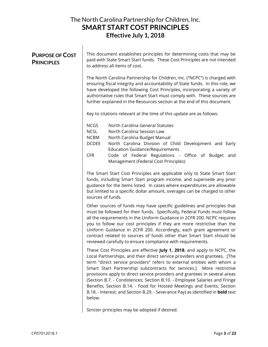#### PURPOSE OF COST **PRINCIPLES**

This document establishes principles for determining costs that may be paid with State Smart Start funds. These Cost Principles are not intended to address all items of cost.

The North Carolina Partnership for Children, Inc. ("NCPC") is charged with ensuring fiscal integrity and accountability of State funds. In this role, we have developed the following Cost Principles, incorporating a variety of authoritative rules that Smart Start must comply with. These sources are further explained in the Resources section at the end of this document.

Key to citations relevant at the time of this update are as follows:

- NCGS North Carolina General Statutes
- NCSL North Carolina Session Law
- NCBM North Carolina Budget Manual
- DCDEE North Carolina Division of Child Development and Early Education Guidance/Requirements
- CFR Code of Federal Regulations Office of Budget and Management (Federal Cost Principles)

The Smart Start Cost Principles are applicable only to State Smart Start funds, including Smart Start program income, and supersede any prior guidance for the items listed. In cases where expenditures are allowable but limited to a specific dollar amount, overages can be charged to other sources of funds.

Other sources of funds may have specific guidelines and principles that must be followed for their funds. Specifically, Federal Funds must follow all the requirements in the Uniform Guidance in 2CFR 200. NCPC requires you to follow our cost principles if they are more restrictive than the Uniform Guidance in 2CFR 200. Accordingly, each grant agreement or contract related to sources of funds other than Smart Start should be reviewed carefully to ensure compliance with requirements.

These Cost Principles are effective July 1, 2018, and apply to NCPC, the Local Partnerships, and their direct service providers and grantees. [The term "direct service providers" refers to external entities with whom a Smart Start Partnership subcontracts for services.] More restrictive provisions apply to direct service providers and grantees in several areas (Section B.7. - Condolences; Section B.10. - Employee Salaries and Fringe Benefits; Section B.14. - Food for Hosted Meetings and Events, Section B.18. - Interest; and Section B.29. - Severance Pay) as identified in **bold** text below.

Stricter principles may be adopted if desired.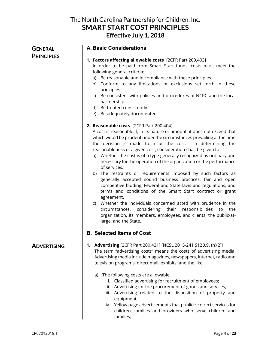**GENERAL PRINCIPLES** 

#### A. Basic Considerations

1. Factors affecting allowable costs [2CFR Part 200.403]

In order to be paid from Smart Start funds, costs must meet the following general criteria:

- a) Be reasonable and in compliance with these principles.
- b) Conform to any limitations or exclusions set forth in these principles.
- c) Be consistent with policies and procedures of NCPC and the local partnership.
- d) Be treated consistently.
- e) Be adequately documented.

#### 2. Reasonable costs [2CFR Part 200.404]

A cost is reasonable if, in its nature or amount, it does not exceed that which would be prudent under the circumstances prevailing at the time the decision is made to incur the cost. In determining the reasonableness of a given cost, consideration shall be given to:

- a) Whether the cost is of a type generally recognized as ordinary and necessary for the operation of the organization or the performance of services.
- b) The restraints or requirements imposed by such factors as generally accepted sound business practices, fair and open competitive bidding, Federal and State laws and regulations, and terms and conditions of the Smart Start contract or grant agreement.
- c) Whether the individuals concerned acted with prudence in the circumstances, considering their responsibilities to the organization, its members, employees, and clients, the public-atlarge, and the State.

#### B. Selected Items of Cost

#### ADVERTISING

#### 1. Advertising [2CFR Part 200.421] [NCSL 2015-241 S12B.9. (h)(2)]

The term "advertising costs" means the costs of advertising media. Advertising media include magazines, newspapers, internet, radio and television programs, direct mail, exhibits, and the like.

- a) The following costs are allowable:
	- i. Classified advertising for recruitment of employees;
	- ii. Advertising for the procurement of goods and services;
	- iii. Advertising related to the disposition of property and equipment;
	- iv. Yellow page advertisements that publicize direct services for children, families and providers who serve children and families;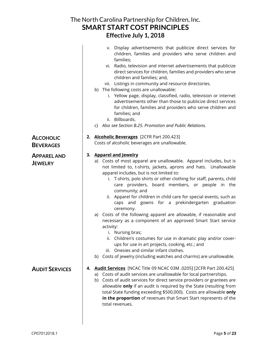|                                      | The North Carolina Partnership for Children, Inc.                                                                                                                                                                                                                                                                                                                                                                                                                                    |  |
|--------------------------------------|--------------------------------------------------------------------------------------------------------------------------------------------------------------------------------------------------------------------------------------------------------------------------------------------------------------------------------------------------------------------------------------------------------------------------------------------------------------------------------------|--|
|                                      | <b>SMART START COST PRINCIPLES</b>                                                                                                                                                                                                                                                                                                                                                                                                                                                   |  |
| Effective July 1, 2018               |                                                                                                                                                                                                                                                                                                                                                                                                                                                                                      |  |
|                                      | v. Display advertisements that publicize direct services for<br>children, families and providers who serve children and<br>families;                                                                                                                                                                                                                                                                                                                                                 |  |
|                                      | vi. Radio, television and internet advertisements that publicize<br>direct services for children, families and providers who serve<br>children and families; and,                                                                                                                                                                                                                                                                                                                    |  |
|                                      | vii. Listings in community and resource directories.<br>b) The following costs are unallowable:                                                                                                                                                                                                                                                                                                                                                                                      |  |
|                                      | i. Yellow page, display, classified, radio, television or internet<br>advertisements other than those to publicize direct services<br>for children, families and providers who serve children and<br>families; and                                                                                                                                                                                                                                                                   |  |
|                                      | ii. Billboards.<br>c) Also see Section B.25. Promotion and Public Relations.                                                                                                                                                                                                                                                                                                                                                                                                         |  |
|                                      |                                                                                                                                                                                                                                                                                                                                                                                                                                                                                      |  |
| <b>ALCOHOLIC</b><br><b>BEVERAGES</b> | 2. Alcoholic Beverages [2CFR Part 200.423]<br>Costs of alcoholic beverages are unallowable.                                                                                                                                                                                                                                                                                                                                                                                          |  |
|                                      |                                                                                                                                                                                                                                                                                                                                                                                                                                                                                      |  |
| <b>APPAREL AND</b><br><b>JEWELRY</b> | 3. Apparel and Jewelry<br>a) Costs of most apparel are unallowable. Apparel includes, but is<br>not limited to, t-shirts, jackets, aprons and hats. Unallowable<br>apparel includes, but is not limited to:<br>i. T-shirts, polo shirts or other clothing for staff, parents, child<br>care providers, board members, or people in the<br>community; and<br>Apparel for children in child care for special events, such as<br>ii.<br>caps and gowns for a prekindergarten graduation |  |
|                                      | ceremony.<br>a) Costs of the following apparel are allowable, if reasonable and<br>necessary as a component of an approved Smart Start service                                                                                                                                                                                                                                                                                                                                       |  |
|                                      | activity:<br>i. Nursing bras;<br>Children's costumes for use in dramatic play and/or cover-<br>ii.                                                                                                                                                                                                                                                                                                                                                                                   |  |
|                                      | ups for use in art projects, cooking, etc.; and<br>Onesies and similar infant clothes.<br>iii.<br>b) Costs of jewelry (including watches and charms) are unallowable.                                                                                                                                                                                                                                                                                                                |  |
|                                      |                                                                                                                                                                                                                                                                                                                                                                                                                                                                                      |  |
| <b>AUDIT SERVICES</b>                | [2CFR Part 200.425] <b>Audit Services</b> [NCAC Title 09 NCAC 03M .0205]<br>4.<br>a) Costs of audit services are unallowable for local partnerships.<br>Costs of audit services for direct service providers or grantees are<br>b)<br>allowable only if an audit is required by the State (resulting from<br>total State funding exceeding \$500,000). Costs are allowable only<br>in the proportion of revenues that Smart Start represents of the<br>total revenues.               |  |
|                                      |                                                                                                                                                                                                                                                                                                                                                                                                                                                                                      |  |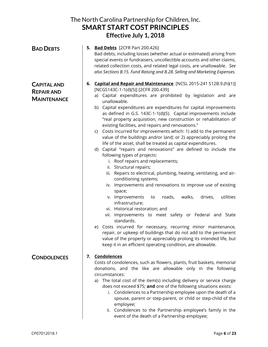| <b>BAD DEBTS</b>                                              | <b>5. Bad Debts</b> [2CFR Part 200.426]<br>Bad debts, including losses (whether actual or estimated) arising from<br>special events or fundraisers, uncollectible accounts and other claims,<br>related collection costs, and related legal costs, are unallowable. See<br>also Sections B.15. Fund Raising and B.28. Selling and Marketing Expenses.                                                                                                                                                                                                                                                                                                                                                                                                                                                                                                                                                                                                                                                                                                                                                                                                                                                                                                                                                                                                                                                                                                                                                |
|---------------------------------------------------------------|------------------------------------------------------------------------------------------------------------------------------------------------------------------------------------------------------------------------------------------------------------------------------------------------------------------------------------------------------------------------------------------------------------------------------------------------------------------------------------------------------------------------------------------------------------------------------------------------------------------------------------------------------------------------------------------------------------------------------------------------------------------------------------------------------------------------------------------------------------------------------------------------------------------------------------------------------------------------------------------------------------------------------------------------------------------------------------------------------------------------------------------------------------------------------------------------------------------------------------------------------------------------------------------------------------------------------------------------------------------------------------------------------------------------------------------------------------------------------------------------------|
| <b>CAPITAL AND</b><br><b>REPAIR AND</b><br><b>MAINTENANCE</b> | 6. Capital and Repair and Maintenance [NCSL 2015-241 S12B.9.(h)(1)]<br>[NCGS143C-1-1(d)(5)] [2CFR 200.439]<br>a) Capital expenditures are prohibited by legislation and are<br>unallowable.<br>b) Capital expenditures are expenditures for capital improvements<br>as defined in G.S. 143C-1-1(d)(5). Capital improvements include<br>"real property acquisition, new construction or rehabilitation of<br>existing facilities, and repairs and renovations."<br>c) Costs incurred for improvements which: 1) add to the permanent<br>value of the buildings and/or land; or 2) appreciably prolong the<br>life of the asset, shall be treated as capital expenditures.<br>d) Capital "repairs and renovations" are defined to include the<br>following types of projects:<br>i. Roof repairs and replacements;<br>ii. Structural repairs;<br>iii. Repairs to electrical, plumbing, heating, ventilating, and air-<br>conditioning systems;<br>iv. Improvements and renovations to improve use of existing<br>space;<br>utilities<br>v. Improvements<br>roads,<br>walks,<br>drives,<br>to<br>infrastructure;<br>vi. Historical restoration; and<br>vii. Improvements to meet safety or Federal and State<br>standards.<br>Costs incurred for necessary, recurring minor maintenance,<br>e)<br>repair, or upkeep of buildings that do not add to the permanent<br>value of the property or appreciably prolong its intended life, but<br>keep it in an efficient operating condition, are allowable. |
| <b>CONDOLENCES</b>                                            | Condolences<br>7.<br>Costs of condolences, such as flowers, plants, fruit baskets, memorial<br>donations, and the like are allowable only in the following<br>circumstances:<br>a) The total cost of the item(s) including delivery or service charge<br>does not exceed \$75; and one of the following situations exists:<br>Condolences to a Partnership employee upon the death of a<br>i.<br>spouse, parent or step-parent, or child or step-child of the<br>employee;<br>Condolences to the Partnership employee's family in the<br>Ħ.<br>event of the death of a Partnership employee;                                                                                                                                                                                                                                                                                                                                                                                                                                                                                                                                                                                                                                                                                                                                                                                                                                                                                                         |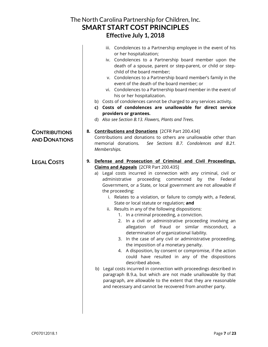|                                              | The North Carolina Partnership for Children, Inc.                                                                                                                                                                                                                                                                                                                                                                                                                                                                                                                                                                                                                                                                                                                                                                                                                                                                                                                                                                                                                                                                                                                                                                                              |
|----------------------------------------------|------------------------------------------------------------------------------------------------------------------------------------------------------------------------------------------------------------------------------------------------------------------------------------------------------------------------------------------------------------------------------------------------------------------------------------------------------------------------------------------------------------------------------------------------------------------------------------------------------------------------------------------------------------------------------------------------------------------------------------------------------------------------------------------------------------------------------------------------------------------------------------------------------------------------------------------------------------------------------------------------------------------------------------------------------------------------------------------------------------------------------------------------------------------------------------------------------------------------------------------------|
|                                              | <b>SMART START COST PRINCIPLES</b>                                                                                                                                                                                                                                                                                                                                                                                                                                                                                                                                                                                                                                                                                                                                                                                                                                                                                                                                                                                                                                                                                                                                                                                                             |
|                                              | Effective July 1, 2018                                                                                                                                                                                                                                                                                                                                                                                                                                                                                                                                                                                                                                                                                                                                                                                                                                                                                                                                                                                                                                                                                                                                                                                                                         |
|                                              | iii. Condolences to a Partnership employee in the event of his<br>or her hospitalization;<br>iv. Condolences to a Partnership board member upon the<br>death of a spouse, parent or step-parent, or child or step-<br>child of the board member;<br>v. Condolences to a Partnership board member's family in the<br>event of the death of the board member; or<br>vi. Condolences to a Partnership board member in the event of<br>his or her hospitalization.<br>b) Costs of condolences cannot be charged to any services activity.<br>c) Costs of condolences are unallowable for direct service<br>providers or grantees.<br>d) Also see Section B.13. Flowers, Plants and Trees.                                                                                                                                                                                                                                                                                                                                                                                                                                                                                                                                                          |
| <b>CONTRIBUTIONS</b><br><b>AND DONATIONS</b> | 8. Contributions and Donations [2CFR Part 200.434]<br>Contributions and donations to others are unallowable other than<br>memorial donations.<br>See Sections B.7. Condolences and B.21.<br>Memberships.                                                                                                                                                                                                                                                                                                                                                                                                                                                                                                                                                                                                                                                                                                                                                                                                                                                                                                                                                                                                                                       |
| <b>LEGAL COSTS</b>                           | 9. Defense and Prosecution of Criminal and Civil Proceedings,<br><b>Claims and Appeals</b> [2CFR Part 200.435]<br>a) Legal costs incurred in connection with any criminal, civil or<br>proceeding commenced<br>by the<br>administrative<br>Federal<br>Government, or a State, or local government are not allowable if<br>the proceeding:<br>i. Relates to a violation, or failure to comply with, a Federal,<br>State or local statute or regulation; and<br>ii. Results in any of the following dispositions:<br>In a criminal proceeding, a conviction.<br>1.<br>In a civil or administrative proceeding involving an<br>2.<br>allegation of fraud or similar misconduct, a<br>determination of organizational liability.<br>In the case of any civil or administrative proceeding,<br>3.<br>the imposition of a monetary penalty.<br>4. A disposition, by consent or compromise, if the action<br>could have resulted in any of the dispositions<br>described above.<br>b) Legal costs incurred in connection with proceedings described in<br>paragraph B.9.a, but which are not made unallowable by that<br>paragraph, are allowable to the extent that they are reasonable<br>and necessary and cannot be recovered from another party. |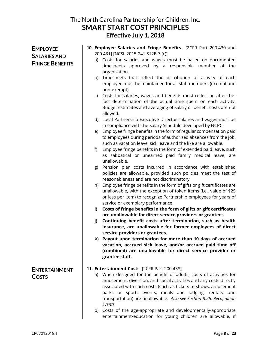| <b>EMPLOYEE</b>                               | 10. Employee Salaries and Fringe Benefits [2CFR Part 200.430 and                                                                                                                                                                                                                                                                                          |
|-----------------------------------------------|-----------------------------------------------------------------------------------------------------------------------------------------------------------------------------------------------------------------------------------------------------------------------------------------------------------------------------------------------------------|
| <b>SALARIES AND</b><br><b>FRINGE BENEFITS</b> | 200.431] [NCSL 2015-241 S12B.7.(c)]<br>a) Costs for salaries and wages must be based on documented                                                                                                                                                                                                                                                        |
|                                               | timesheets approved by a responsible member of the<br>organization.                                                                                                                                                                                                                                                                                       |
|                                               | b) Timesheets that reflect the distribution of activity of each<br>employee must be maintained for all staff members (exempt and                                                                                                                                                                                                                          |
|                                               | non-exempt).                                                                                                                                                                                                                                                                                                                                              |
|                                               | c) Costs for salaries, wages and benefits must reflect an after-the-<br>fact determination of the actual time spent on each activity.                                                                                                                                                                                                                     |
|                                               | Budget estimates and averaging of salary or benefit costs are not<br>allowed.                                                                                                                                                                                                                                                                             |
|                                               | d) Local Partnership Executive Director salaries and wages must be<br>in compliance with the Salary Schedule developed by NCPC.                                                                                                                                                                                                                           |
|                                               | Employee fringe benefits in the form of regular compensation paid<br>e)<br>to employees during periods of authorized absences from the job,<br>such as vacation leave, sick leave and the like are allowable.                                                                                                                                             |
|                                               | Employee fringe benefits in the form of extended paid leave, such<br>f)<br>as sabbatical or unearned paid family medical leave, are<br>unallowable.                                                                                                                                                                                                       |
|                                               | Pension plan costs incurred in accordance with established<br>g)<br>policies are allowable, provided such policies meet the test of<br>reasonableness and are not discriminatory.                                                                                                                                                                         |
|                                               | Employee fringe benefits in the form of gifts or gift certificates are<br>h)<br>unallowable, with the exception of token items (i.e., value of \$25<br>or less per item) to recognize Partnership employees for years of                                                                                                                                  |
|                                               | service or exemplary performance.<br>Costs of fringe benefits in the form of gifts or gift certificates<br>i)                                                                                                                                                                                                                                             |
|                                               | are unallowable for direct service providers or grantees.                                                                                                                                                                                                                                                                                                 |
|                                               | Continuing benefit costs after termination, such as health<br>j)<br>insurance, are unallowable for former employees of direct                                                                                                                                                                                                                             |
|                                               | service providers or grantees.<br>k) Payout upon termination for more than 10 days of accrued                                                                                                                                                                                                                                                             |
|                                               | vacation, accrued sick leave, and/or accrued paid time off<br>(combined) are unallowable for direct service provider or<br>grantee staff.                                                                                                                                                                                                                 |
| <b>ENTERTAINMENT</b>                          | 11. <b>Entertainment Costs</b> [2CFR Part 200.438]                                                                                                                                                                                                                                                                                                        |
| <b>COSTS</b>                                  | a) When designed for the benefit of adults, costs of activities for<br>amusement, diversion, and social activities and any costs directly<br>associated with such costs (such as tickets to shows, amusement<br>parks or sports events; meals and lodging; rentals; and<br>transportation) are unallowable. Also see Section B.26. Recognition<br>Events. |
|                                               | b) Costs of the age-appropriate and developmentally-appropriate<br>entertainment/education for young children are allowable, if                                                                                                                                                                                                                           |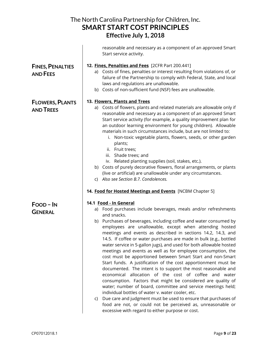|                                            | The North Carolina Partnership for Children, Inc.<br><b>SMART START COST PRINCIPLES</b><br>Effective July 1, 2018                                                                                                                                                                                                                                                                                                                                                                                                                                                                                                                                                                                                                                                                                                                                                                                                                                                                                                                                                                                                                                             |
|--------------------------------------------|---------------------------------------------------------------------------------------------------------------------------------------------------------------------------------------------------------------------------------------------------------------------------------------------------------------------------------------------------------------------------------------------------------------------------------------------------------------------------------------------------------------------------------------------------------------------------------------------------------------------------------------------------------------------------------------------------------------------------------------------------------------------------------------------------------------------------------------------------------------------------------------------------------------------------------------------------------------------------------------------------------------------------------------------------------------------------------------------------------------------------------------------------------------|
|                                            | reasonable and necessary as a component of an approved Smart<br>Start service activity.                                                                                                                                                                                                                                                                                                                                                                                                                                                                                                                                                                                                                                                                                                                                                                                                                                                                                                                                                                                                                                                                       |
| <b>FINES, PENALTIES</b><br><b>AND FEES</b> | 12. Fines, Penalties and Fees [2CFR Part 200.441]<br>a) Costs of fines, penalties or interest resulting from violations of, or<br>failure of the Partnership to comply with Federal, State, and local<br>laws and regulations are unallowable.<br>b) Costs of non-sufficient fund (NSF) fees are unallowable.                                                                                                                                                                                                                                                                                                                                                                                                                                                                                                                                                                                                                                                                                                                                                                                                                                                 |
| <b>FLOWERS, PLANTS</b><br><b>AND TREES</b> | 13. Flowers, Plants and Trees<br>a) Costs of flowers, plants and related materials are allowable only if<br>reasonable and necessary as a component of an approved Smart<br>Start service activity (for example, a quality improvement plan for<br>an outdoor learning environment for young children). Allowable<br>materials in such circumstances include, but are not limited to:<br>i. Non-toxic vegetable plants, flowers, seeds, or other garden<br>plants;<br>ii. Fruit trees;<br>iii. Shade trees; and<br>iv. Related planting supplies (soil, stakes, etc.).<br>b) Costs of purely decorative flowers, floral arrangements, or plants<br>(live or artificial) are unallowable under any circumstances.<br>c) Also see Section B.7. Condolences.                                                                                                                                                                                                                                                                                                                                                                                                     |
|                                            | 14. Food for Hosted Meetings and Events [NCBM Chapter 5]                                                                                                                                                                                                                                                                                                                                                                                                                                                                                                                                                                                                                                                                                                                                                                                                                                                                                                                                                                                                                                                                                                      |
| FOOD-IN<br><b>GENERAL</b>                  | 14.1 Food - In General<br>a) Food purchases include beverages, meals and/or refreshments<br>and snacks.<br>b) Purchases of beverages, including coffee and water consumed by<br>employees are unallowable, except when attending hosted<br>meetings and events as described in sections 14.2, 14.3, and<br>14.5. If coffee or water purchases are made in bulk (e.g., bottled<br>water service in 5-gallon jugs), and used for both allowable hosted<br>meetings and events as well as for employee consumption, the<br>cost must be apportioned between Smart Start and non-Smart<br>Start funds. A justification of the cost apportionment must be<br>documented. The intent is to support the most reasonable and<br>economical allocation of the cost of coffee and water<br>consumption. Factors that might be considered are quality of<br>water; number of board, committee and service meetings held;<br>individual bottles of water v. water cooler, etc.<br>Due care and judgment must be used to ensure that purchases of<br>C)<br>food are not, or could not be perceived as, unreasonable or<br>excessive with regard to either purpose or cost. |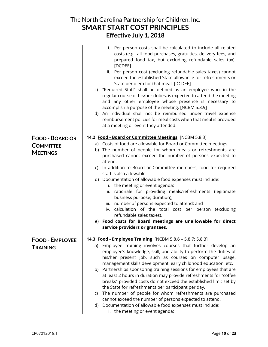|                                    | The North Carolina Partnership for Children, Inc.                                                                                                                                                                                                                                                                                                                                                                                                                                                                                                                                                                                                                                                                                                                               |
|------------------------------------|---------------------------------------------------------------------------------------------------------------------------------------------------------------------------------------------------------------------------------------------------------------------------------------------------------------------------------------------------------------------------------------------------------------------------------------------------------------------------------------------------------------------------------------------------------------------------------------------------------------------------------------------------------------------------------------------------------------------------------------------------------------------------------|
|                                    | <b>SMART START COST PRINCIPLES</b>                                                                                                                                                                                                                                                                                                                                                                                                                                                                                                                                                                                                                                                                                                                                              |
|                                    | Effective July 1, 2018                                                                                                                                                                                                                                                                                                                                                                                                                                                                                                                                                                                                                                                                                                                                                          |
|                                    | Per person costs shall be calculated to include all related<br>İ.<br>costs (e.g., all food purchases, gratuities, delivery fees, and<br>prepared food tax, but excluding refundable sales tax).<br>[DCDEE]<br>ii. Per person cost (excluding refundable sales taxes) cannot<br>exceed the established State allowance for refreshments or<br>State per diem for that meal. [DCDEE]<br>c) "Required Staff" shall be defined as an employee who, in the<br>regular course of his/her duties, is expected to attend the meeting<br>and any other employee whose presence is necessary to<br>accomplish a purpose of the meeting. [NCBM 5.3.9]<br>d) An individual shall not be reimbursed under travel expense<br>reimbursement policies for meal costs when that meal is provided |
|                                    | at a meeting or event they attended.                                                                                                                                                                                                                                                                                                                                                                                                                                                                                                                                                                                                                                                                                                                                            |
| <b>FOOD - BOARD OR</b>             | 14.2 Food - Board or Committee Meetings [NCBM 5.8.3]                                                                                                                                                                                                                                                                                                                                                                                                                                                                                                                                                                                                                                                                                                                            |
| <b>COMMITTEE</b>                   | a) Costs of food are allowable for Board or Committee meetings.                                                                                                                                                                                                                                                                                                                                                                                                                                                                                                                                                                                                                                                                                                                 |
| <b>MEETINGS</b>                    | b) The number of people for whom meals or refreshments are<br>purchased cannot exceed the number of persons expected to                                                                                                                                                                                                                                                                                                                                                                                                                                                                                                                                                                                                                                                         |
|                                    | attend.                                                                                                                                                                                                                                                                                                                                                                                                                                                                                                                                                                                                                                                                                                                                                                         |
|                                    | c) In addition to Board or Committee members, food for required<br>staff is also allowable.                                                                                                                                                                                                                                                                                                                                                                                                                                                                                                                                                                                                                                                                                     |
|                                    | d) Documentation of allowable food expenses must include:                                                                                                                                                                                                                                                                                                                                                                                                                                                                                                                                                                                                                                                                                                                       |
|                                    | i. the meeting or event agenda;                                                                                                                                                                                                                                                                                                                                                                                                                                                                                                                                                                                                                                                                                                                                                 |
|                                    | rationale for providing meals/refreshments (legitimate<br>ii.<br>business purpose; duration);                                                                                                                                                                                                                                                                                                                                                                                                                                                                                                                                                                                                                                                                                   |
|                                    | number of persons expected to attend; and<br>iii.                                                                                                                                                                                                                                                                                                                                                                                                                                                                                                                                                                                                                                                                                                                               |
|                                    | iv. calculation of the total cost per person<br>(excluding                                                                                                                                                                                                                                                                                                                                                                                                                                                                                                                                                                                                                                                                                                                      |
|                                    | refundable sales taxes).<br>e) Food costs for Board meetings are unallowable for direct                                                                                                                                                                                                                                                                                                                                                                                                                                                                                                                                                                                                                                                                                         |
|                                    | service providers or grantees.                                                                                                                                                                                                                                                                                                                                                                                                                                                                                                                                                                                                                                                                                                                                                  |
|                                    | 14.3 Food - Employee Training [NCBM 5.8.6 - 5.8.7; 5.8.3]                                                                                                                                                                                                                                                                                                                                                                                                                                                                                                                                                                                                                                                                                                                       |
| <b>FOOD - EMPLOYEE</b><br>TRAINING | Employee training involves courses that further develop an<br>a)                                                                                                                                                                                                                                                                                                                                                                                                                                                                                                                                                                                                                                                                                                                |
|                                    | employee's knowledge, skill, and ability to perform the duties of                                                                                                                                                                                                                                                                                                                                                                                                                                                                                                                                                                                                                                                                                                               |
|                                    | his/her present job, such as courses on computer usage,<br>management skills development, early childhood education, etc.                                                                                                                                                                                                                                                                                                                                                                                                                                                                                                                                                                                                                                                       |
|                                    | b) Partnerships sponsoring training sessions for employees that are                                                                                                                                                                                                                                                                                                                                                                                                                                                                                                                                                                                                                                                                                                             |
|                                    | at least 2 hours in duration may provide refreshments for "coffee                                                                                                                                                                                                                                                                                                                                                                                                                                                                                                                                                                                                                                                                                                               |
|                                    | breaks" provided costs do not exceed the established limit set by<br>the State for refreshments per participant per day.                                                                                                                                                                                                                                                                                                                                                                                                                                                                                                                                                                                                                                                        |
|                                    | The number of people for whom refreshments are purchased<br>C)                                                                                                                                                                                                                                                                                                                                                                                                                                                                                                                                                                                                                                                                                                                  |
|                                    | cannot exceed the number of persons expected to attend.                                                                                                                                                                                                                                                                                                                                                                                                                                                                                                                                                                                                                                                                                                                         |
|                                    | d) Documentation of allowable food expenses must include:<br>i. the meeting or event agenda;                                                                                                                                                                                                                                                                                                                                                                                                                                                                                                                                                                                                                                                                                    |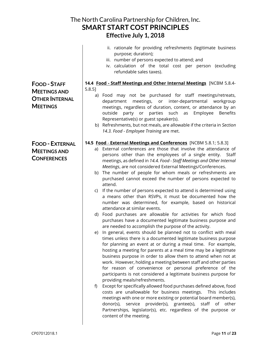|                                           | The North Carolina Partnership for Children, Inc.<br><b>SMART START COST PRINCIPLES</b><br>Effective July 1, 2018                                                                                                                                                                                                                                                                                                                                                                                                                       |
|-------------------------------------------|-----------------------------------------------------------------------------------------------------------------------------------------------------------------------------------------------------------------------------------------------------------------------------------------------------------------------------------------------------------------------------------------------------------------------------------------------------------------------------------------------------------------------------------------|
|                                           | ii. rationale for providing refreshments (legitimate business<br>purpose; duration);<br>iii. number of persons expected to attend; and<br>iv. calculation of the total cost per person (excluding<br>refundable sales taxes).                                                                                                                                                                                                                                                                                                           |
| <b>FOOD-STAFF</b>                         | 14.4 Food - Staff Meetings and Other Internal Meetings [NCBM 5.8.4-                                                                                                                                                                                                                                                                                                                                                                                                                                                                     |
| <b>MEETINGS AND</b>                       | $5.8.5$ ]<br>a) Food may not be purchased for staff meetings/retreats,                                                                                                                                                                                                                                                                                                                                                                                                                                                                  |
| <b>OTHER INTERNAL</b><br><b>MEETINGS</b>  | meetings, or inter-departmental<br>department<br>workgroup<br>meetings, regardless of duration, content, or attendance by an<br>outside<br>party or parties such as<br>Employee<br><b>Benefits</b><br>Representative(s) or guest speaker(s).                                                                                                                                                                                                                                                                                            |
|                                           | b) Refreshments, but not meals, are allowable if the criteria in Section<br>14.3. Food - Employee Training are met.                                                                                                                                                                                                                                                                                                                                                                                                                     |
| <b>FOOD - EXTERNAL</b>                    | 14.5 Food - External Meetings and Conferences [NCBM 5.8.1; 5.8.3]                                                                                                                                                                                                                                                                                                                                                                                                                                                                       |
| <b>MEETINGS AND</b><br><b>CONFERENCES</b> | a) External conferences are those that involve the attendance of<br>persons other than the employees of a single entity. Staff<br>meetings, as defined in 14.4. Food - Staff Meetings and Other Internal<br>Meetings, are not considered External Meetings/Conferences.                                                                                                                                                                                                                                                                 |
|                                           | b) The number of people for whom meals or refreshments are<br>purchased cannot exceed the number of persons expected to<br>attend.                                                                                                                                                                                                                                                                                                                                                                                                      |
|                                           | If the number of persons expected to attend is determined using<br>C)<br>a means other than RSVPs, it must be documented how the<br>number was determined, for example, based on historical<br>attendance at similar events.                                                                                                                                                                                                                                                                                                            |
|                                           | d) Food purchases are allowable for activities for which food<br>purchases have a documented legitimate business purpose and<br>are needed to accomplish the purpose of the activity.                                                                                                                                                                                                                                                                                                                                                   |
|                                           | In general, events should be planned not to conflict with meal<br>e)<br>times unless there is a documented legitimate business purpose<br>for planning an event at or during a meal time. For example,<br>hosting a meeting for parents at a meal time may be a legitimate<br>business purpose in order to allow them to attend when not at<br>work. However, holding a meeting between staff and other parties                                                                                                                         |
|                                           | for reason of convenience or personal preference of the<br>participants is not considered a legitimate business purpose for<br>providing meals/refreshments.<br>Except for specifically allowed food purchases defined above, food<br>f)<br>costs are unallowable for business meetings.<br>This includes<br>meetings with one or more existing or potential board member(s),<br>donor(s), service provider(s), grantee(s), staff of other<br>Partnerships, legislator(s), etc. regardless of the purpose or<br>content of the meeting. |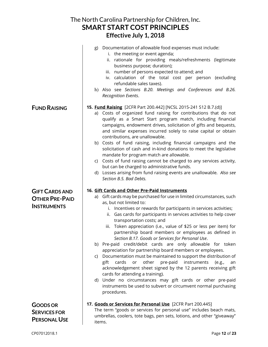|                                                                      | The North Carolina Partnership for Children, Inc.<br><b>SMART START COST PRINCIPLES</b>                                                                                                                                                                                                                                                                                                                                                                                                                                                                                                                                                                                                                                                                                                                                                                                                                                                                                                                                                             |
|----------------------------------------------------------------------|-----------------------------------------------------------------------------------------------------------------------------------------------------------------------------------------------------------------------------------------------------------------------------------------------------------------------------------------------------------------------------------------------------------------------------------------------------------------------------------------------------------------------------------------------------------------------------------------------------------------------------------------------------------------------------------------------------------------------------------------------------------------------------------------------------------------------------------------------------------------------------------------------------------------------------------------------------------------------------------------------------------------------------------------------------|
|                                                                      | Effective July 1, 2018                                                                                                                                                                                                                                                                                                                                                                                                                                                                                                                                                                                                                                                                                                                                                                                                                                                                                                                                                                                                                              |
|                                                                      | Documentation of allowable food expenses must include:<br>g)<br>i. the meeting or event agenda;<br>rationale for providing meals/refreshments (legitimate<br>ii.<br>business purpose; duration);<br>iii. number of persons expected to attend; and<br>iv. calculation of the total cost per person (excluding<br>refundable sales taxes).<br>h) Also see Sections B.20. Meetings and Conferences and B.26.<br>Recognition Events.                                                                                                                                                                                                                                                                                                                                                                                                                                                                                                                                                                                                                   |
| <b>FUND RAISING</b>                                                  | 15. Fund Raising [2CFR Part 200.442] [NCSL 2015-241 S12 B.7.(d)]<br>a) Costs of organized fund raising for contributions that do not<br>qualify as a Smart Start program match, including financial<br>campaigns, endowment drives, solicitation of gifts and bequests,<br>and similar expenses incurred solely to raise capital or obtain<br>contributions, are unallowable.<br>b) Costs of fund raising, including financial campaigns and the<br>solicitation of cash and in-kind donations to meet the legislative<br>mandate for program match are allowable.<br>Costs of fund raising cannot be charged to any services activity,<br>C)<br>but can be charged to administrative funds.<br>d) Losses arising from fund raising events are unallowable. Also see<br>Section B.5. Bad Debts.                                                                                                                                                                                                                                                     |
| <b>GIFT CARDS AND</b><br><b>OTHER PRE-PAID</b><br><b>INSTRUMENTS</b> | 16. Gift Cards and Other Pre-Paid Instruments<br>a) Gift cards may be purchased for use in limited circumstances, such<br>as, but not limited to:<br>i. Incentives or rewards for participants in services activities;<br>ii. Gas cards for participants in services activities to help cover<br>transportation costs; and<br>Token appreciation (i.e., value of \$25 or less per item) for<br>iii.<br>partnership board members or employees as defined in<br>Section B.17. Goods or Services for Personal Use.<br>b) Pre-paid credit/debit cards are only allowable for token<br>appreciation for partnership board members or employees.<br>Documentation must be maintained to support the distribution of<br>C)<br>other<br>pre-paid<br>cards<br>instruments<br>gift<br>or<br>(e.g.,<br>an<br>acknowledgement sheet signed by the 12 parents receiving gift<br>cards for attending a training).<br>d) Under no circumstances may gift cards or other pre-paid<br>instruments be used to subvert or circumvent normal purchasing<br>procedures. |
| <b>GOODS OR</b><br><b>SERVICES FOR</b><br><b>PERSONAL USE</b>        | 17. Goods or Services for Personal Use [2CFR Part 200.445]<br>The term "goods or services for personal use" includes beach mats,<br>umbrellas, coolers, tote bags, pen sets, lotions, and other "giveaway"<br>items.                                                                                                                                                                                                                                                                                                                                                                                                                                                                                                                                                                                                                                                                                                                                                                                                                                |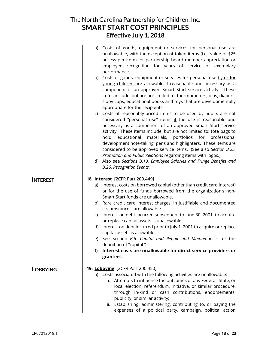| The North Carolina Partnership for Children, Inc. |
|---------------------------------------------------|
| <b>SMART START COST PRINCIPLES</b>                |
| Effective July 1, 2018                            |

|                 |    | a) Costs of goods, equipment or services for personal use are<br>unallowable, with the exception of token items (i.e., value of \$25<br>or less per item) for partnership board member appreciation or<br>employee recognition for years of service or exemplary<br>performance.                                                                                                                                                                                                                                                                    |
|-----------------|----|-----------------------------------------------------------------------------------------------------------------------------------------------------------------------------------------------------------------------------------------------------------------------------------------------------------------------------------------------------------------------------------------------------------------------------------------------------------------------------------------------------------------------------------------------------|
|                 |    | b) Costs of goods, equipment or services for personal use by or for<br>young children are allowable if reasonable and necessary as a<br>component of an approved Smart Start service activity. These<br>items include, but are not limited to: thermometers, bibs, diapers,<br>sippy cups, educational books and toys that are developmentally<br>appropriate for the recipients.                                                                                                                                                                   |
|                 |    | c) Costs of reasonably-priced items to be used by adults are not<br>considered "personal use" items if the use is reasonable and<br>necessary as a component of an approved Smart Start service<br>activity. These items include, but are not limited to: tote bags to<br>educational<br>materials,<br>portfolios<br>for professional<br>hold<br>development note-taking, pens and highlighters. These items are<br>considered to be approved service items. (See also Section B.25.<br>Promotion and Public Relations regarding items with logos.) |
|                 |    | d) Also see Sections B.10. Employee Salaries and Fringe Benefits and<br>B.26. Recognition Events.                                                                                                                                                                                                                                                                                                                                                                                                                                                   |
| <b>INTEREST</b> |    | 18. Interest [2CFR Part 200.449]                                                                                                                                                                                                                                                                                                                                                                                                                                                                                                                    |
|                 | a) | Interest costs on borrowed capital (other than credit card interest)<br>or for the use of funds borrowed from the organization's non-<br>Smart Start funds are unallowable.                                                                                                                                                                                                                                                                                                                                                                         |
|                 |    | b) Rare credit card interest charges, in justifiable and documented<br>circumstances, are allowable.                                                                                                                                                                                                                                                                                                                                                                                                                                                |
|                 | C) | Interest on debt incurred subsequent to June 30, 2001, to acquire<br>or replace capital assets is unallowable.                                                                                                                                                                                                                                                                                                                                                                                                                                      |
|                 | d) | Interest on debt incurred prior to July 1, 2001 to acquire or replace<br>capital assets is allowable.                                                                                                                                                                                                                                                                                                                                                                                                                                               |
|                 |    | e) See Section B.6. Capital and Repair and Maintenance, for the<br>definition of "capital."                                                                                                                                                                                                                                                                                                                                                                                                                                                         |
|                 | f) | Interest costs are unallowable for direct service providers or                                                                                                                                                                                                                                                                                                                                                                                                                                                                                      |
|                 |    | grantees.                                                                                                                                                                                                                                                                                                                                                                                                                                                                                                                                           |
| <b>LOBBYING</b> |    | 19. Lobbying [2CFR Part 200.450]                                                                                                                                                                                                                                                                                                                                                                                                                                                                                                                    |
|                 |    | a) Costs associated with the following activities are unallowable:<br>i. Attempts to influence the outcomes of any Federal, State, or<br>local election, referendum, initiative, or similar procedure,<br>through in-kind or cash contributions, endorsements,<br>publicity, or similar activity;                                                                                                                                                                                                                                                   |
|                 |    | ii. Establishing, administering, contributing to, or paying the<br>expenses of a political party, campaign, political action                                                                                                                                                                                                                                                                                                                                                                                                                        |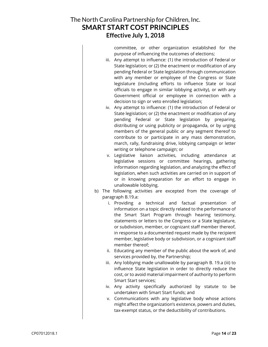committee, or other organization established for the purpose of influencing the outcomes of elections;

- iii. Any attempt to influence: (1) the introduction of Federal or State legislation; or (2) the enactment or modification of any pending Federal or State legislation through communication with any member or employee of the Congress or State legislature (including efforts to influence State or local officials to engage in similar lobbying activity), or with any Government official or employee in connection with a decision to sign or veto enrolled legislation;
- iv. Any attempt to influence: (1) the introduction of Federal or State legislation; or (2) the enactment or modification of any pending Federal or State legislation by preparing, distributing or using publicity or propaganda, or by urging members of the general public or any segment thereof to contribute to or participate in any mass demonstration, march, rally, fundraising drive, lobbying campaign or letter writing or telephone campaign; or
- v. Legislative liaison activities, including attendance at legislative sessions or committee hearings, gathering information regarding legislation, and analyzing the effect of legislation, when such activities are carried on in support of or in knowing preparation for an effort to engage in unallowable lobbying.
- b) The following activities are excepted from the coverage of paragraph B.19.a:
	- i. Providing a technical and factual presentation of information on a topic directly related to the performance of the Smart Start Program through hearing testimony, statements or letters to the Congress or a State legislature, or subdivision, member, or cognizant staff member thereof, in response to a documented request made by the recipient member, legislative body or subdivision, or a cognizant staff member thereof;
	- ii. Educating any member of the public about the work of, and services provided by, the Partnership;
	- iii. Any lobbying made unallowable by paragraph B. 19.a (iii) to influence State legislation in order to directly reduce the cost, or to avoid material impairment of authority to perform Smart Start services;
	- iv. Any activity specifically authorized by statute to be undertaken with Smart Start funds; and
	- v. Communications with any legislative body whose actions might affect the organization's existence, powers and duties, tax-exempt status, or the deductibility of contributions.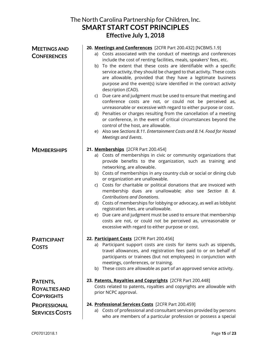|                                                       | The North Carolina Partnership for Children, Inc.<br><b>SMART START COST PRINCIPLES</b><br>Effective July 1, 2018                                                                                                                                                                                                                                                                                                                                                                                                                                                                                                                                                                                                                                                                                                                                                                                                                                                                                                 |
|-------------------------------------------------------|-------------------------------------------------------------------------------------------------------------------------------------------------------------------------------------------------------------------------------------------------------------------------------------------------------------------------------------------------------------------------------------------------------------------------------------------------------------------------------------------------------------------------------------------------------------------------------------------------------------------------------------------------------------------------------------------------------------------------------------------------------------------------------------------------------------------------------------------------------------------------------------------------------------------------------------------------------------------------------------------------------------------|
| <b>MEETINGS AND</b><br><b>CONFERENCES</b>             | 20. Meetings and Conferences [2CFR Part 200.432] [NCBM5.1.9]<br>a) Costs associated with the conduct of meetings and conferences<br>include the cost of renting facilities, meals, speakers' fees, etc.<br>b) To the extent that these costs are identifiable with a specific<br>service activity, they should be charged to that activity. These costs<br>are allowable, provided that they have a legitimate business<br>purpose and the event(s) is/are identified in the contract activity<br>description (CAD).<br>Due care and judgment must be used to ensure that meeting and<br>C)<br>conference costs are not, or could not be perceived as,<br>unreasonable or excessive with regard to either purpose or cost.<br>d) Penalties or charges resulting from the cancellation of a meeting<br>or conference, in the event of critical circumstances beyond the<br>control of the host, are allowable.<br>e) Also see Sections B.11. Entertainment Costs and B.14. Food for Hosted<br>Meetings and Events. |
| <b>MEMBERSHIPS</b>                                    | 21. Memberships [2CFR Part 200.454]<br>a) Costs of memberships in civic or community organizations that<br>provide benefits to the organization, such as training and<br>networking, are allowable.<br>b) Costs of memberships in any country club or social or dining club<br>or organization are unallowable.<br>Costs for charitable or political donations that are invoiced with<br>C)<br>membership dues are unallowable; also see Section B. 8.<br><b>Contributions and Donations.</b><br>d) Costs of memberships for lobbying or advocacy, as well as lobbyist<br>registration fees, are unallowable.<br>e) Due care and judgment must be used to ensure that membership<br>costs are not, or could not be perceived as, unreasonable or<br>excessive with regard to either purpose or cost.                                                                                                                                                                                                              |
| <b>PARTICIPANT</b><br><b>COSTS</b>                    | 22. Participant Costs [2CFR Part 200.456]<br>a) Participant support costs are costs for items such as stipends,<br>travel allowances, and registration fees paid to or on behalf of<br>participants or trainees (but not employees) in conjunction with<br>meetings, conferences, or training.<br>b) These costs are allowable as part of an approved service activity.                                                                                                                                                                                                                                                                                                                                                                                                                                                                                                                                                                                                                                           |
| PATENTS,<br><b>ROYALTIES AND</b><br><b>COPYRIGHTS</b> | 23. Patents, Royalties and Copyrights [2CFR Part 200.448]<br>Costs related to patents, royalties and copyrights are allowable with<br>prior NCPC approval.                                                                                                                                                                                                                                                                                                                                                                                                                                                                                                                                                                                                                                                                                                                                                                                                                                                        |
| <b>PROFESSIONAL</b><br><b>SERVICES COSTS</b>          | 24. Professional Services Costs [2CFR Part 200.459]<br>a) Costs of professional and consultant services provided by persons<br>who are members of a particular profession or possess a special                                                                                                                                                                                                                                                                                                                                                                                                                                                                                                                                                                                                                                                                                                                                                                                                                    |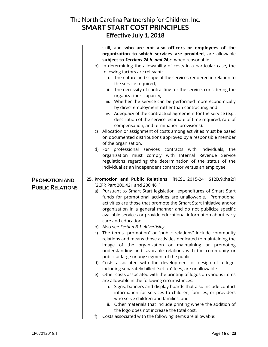|                                                 | The North Carolina Partnership for Children, Inc.<br><b>SMART START COST PRINCIPLES</b><br>Effective July 1, 2018                                                                                                                                                                                                                                                                                                                                                                                                                                                                                                                                                                                                                                                                                                                                                                                                                                                                                                                                                                                                                                                                                                                                                                                                                                                                                                                                                        |
|-------------------------------------------------|--------------------------------------------------------------------------------------------------------------------------------------------------------------------------------------------------------------------------------------------------------------------------------------------------------------------------------------------------------------------------------------------------------------------------------------------------------------------------------------------------------------------------------------------------------------------------------------------------------------------------------------------------------------------------------------------------------------------------------------------------------------------------------------------------------------------------------------------------------------------------------------------------------------------------------------------------------------------------------------------------------------------------------------------------------------------------------------------------------------------------------------------------------------------------------------------------------------------------------------------------------------------------------------------------------------------------------------------------------------------------------------------------------------------------------------------------------------------------|
|                                                 | skill, and who are not also officers or employees of the<br>organization to which services are provided, are allowable<br>subject to Sections 24.b. and 24.c. when reasonable.<br>b) In determining the allowability of costs in a particular case, the<br>following factors are relevant:<br>i. The nature and scope of the services rendered in relation to<br>the service required;<br>ii. The necessity of contracting for the service, considering the<br>organization's capacity;<br>iii. Whether the service can be performed more economically<br>by direct employment rather than contracting; and<br>iv. Adequacy of the contractual agreement for the service (e.g.,<br>description of the service, estimate of time required, rate of<br>compensation, and termination provisions).<br>c) Allocation or assignment of costs among activities must be based<br>on documented distributions approved by a responsible member<br>of the organization.<br>d) For professional services contracts with individuals, the<br>organization must comply with Internal Revenue Service<br>regulations regarding the determination of the status of the<br>individual as an independent contractor versus an employee.                                                                                                                                                                                                                                                  |
| <b>PROMOTION AND</b><br><b>PUBLIC RELATIONS</b> | 25. Promotion and Public Relations [NCSL 2015-241 S12B.9.(h)(2)]<br>[2CFR Part 200.421 and 200.461]<br>a) Pursuant to Smart Start legislation, expenditures of Smart Start<br>funds for promotional activities are unallowable. Promotional<br>activities are those that promote the Smart Start Initiative and/or<br>organization in a general manner and do not publicize specific<br>available services or provide educational information about early<br>care and education.<br>b) Also see Section B.1. Advertising.<br>The terms "promotion" or "public relations" include community<br>C)<br>relations and means those activities dedicated to maintaining the<br>image of the organization or maintaining or promoting<br>understanding and favorable relations with the community or<br>public at large or any segment of the public.<br>d) Costs associated with the development or design of a logo,<br>including separately billed "set-up" fees, are unallowable.<br>e) Other costs associated with the printing of logos on various items<br>are allowable in the following circumstances:<br>i. Signs, banners and display boards that also include contact<br>information for services to children, families, or providers<br>who serve children and families; and<br>Other materials that include printing where the addition of<br>II.<br>the logo does not increase the total cost.<br>Costs associated with the following items are allowable:<br>f) |

f) Costs associated with the following items are allowable: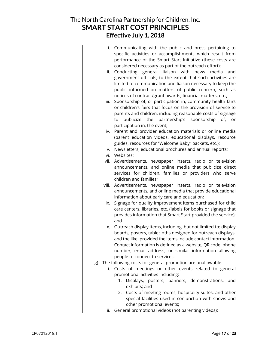- i. Communicating with the public and press pertaining to specific activities or accomplishments which result from performance of the Smart Start Initiative (these costs are considered necessary as part of the outreach effort);
- ii. Conducting general liaison with news media and government officials, to the extent that such activities are limited to communication and liaison necessary to keep the public informed on matters of public concern, such as notices of contract/grant awards, financial matters, etc.;
- iii. Sponsorship of, or participation in, community health fairs or children's fairs that focus on the provision of service to parents and children, including reasonable costs of signage to publicize the partnership's sponsorship of, or participation in, the event;
- iv. Parent and provider education materials or online media (parent education videos, educational displays, resource guides, resources for "Welcome Baby" packets, etc.);
- v. Newsletters, educational brochures and annual reports;
- vi. Websites;
- vii. Advertisements, newspaper inserts, radio or television announcements, and online media that publicize direct services for children, families or providers who serve children and families;
- viii. Advertisements, newspaper inserts, radio or television announcements, and online media that provide educational information about early care and education;
- ix. Signage for quality improvement items purchased for child care centers, libraries, etc. (labels for books or signage that provides information that Smart Start provided the service); and
- x. Outreach display items, including, but not limited to: display boards, posters, tablecloths designed for outreach displays, and the like, provided the items include contact information. Contact information is defined as a website, QR code, phone number, email address, or similar information allowing people to connect to services.
- g) The following costs for general promotion are unallowable:
	- i. Costs of meetings or other events related to general promotional activities including:
		- 1. Displays, posters, banners, demonstrations, and exhibits; and
		- 2. Costs of meeting rooms, hospitality suites, and other special facilities used in conjunction with shows and other promotional events;
	- ii. General promotional videos (not parenting videos);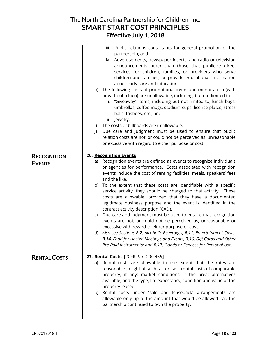|                     | The North Carolina Partnership for Children, Inc.<br><b>SMART START COST PRINCIPLES</b>                                                                                                                                                                                                                                                                                                                                                                                                                               |
|---------------------|-----------------------------------------------------------------------------------------------------------------------------------------------------------------------------------------------------------------------------------------------------------------------------------------------------------------------------------------------------------------------------------------------------------------------------------------------------------------------------------------------------------------------|
|                     | Effective July 1, 2018                                                                                                                                                                                                                                                                                                                                                                                                                                                                                                |
|                     | Public relations consultants for general promotion of the<br>iii.<br>partnership; and<br>iv. Advertisements, newspaper inserts, and radio or television<br>announcements other than those that publicize direct<br>services for children, families, or providers who serve<br>children and families, or provide educational information<br>about early care and education.<br>h) The following costs of promotional items and memorabilia (with<br>or without a logo) are unallowable, including, but not limited to: |
|                     | i. "Giveaway" items, including but not limited to, lunch bags,<br>umbrellas, coffee mugs, stadium cups, license plates, stress<br>balls, frisbees, etc.; and<br>ii. Jewelry.                                                                                                                                                                                                                                                                                                                                          |
|                     | The costs of billboards are unallowable.<br>i)<br>Due care and judgment must be used to ensure that public<br>j)<br>relation costs are not, or could not be perceived as, unreasonable<br>or excessive with regard to either purpose or cost.                                                                                                                                                                                                                                                                         |
| <b>RECOGNITION</b>  | 26. Recognition Events                                                                                                                                                                                                                                                                                                                                                                                                                                                                                                |
| <b>EVENTS</b>       | a) Recognition events are defined as events to recognize individuals<br>or agencies for performance. Costs associated with recognition<br>events include the cost of renting facilities, meals, speakers' fees<br>and the like.                                                                                                                                                                                                                                                                                       |
|                     | b) To the extent that these costs are identifiable with a specific<br>service activity, they should be charged to that activity. These<br>costs are allowable, provided that they have a documented<br>legitimate business purpose and the event is identified in the<br>contract activity description (CAD).                                                                                                                                                                                                         |
|                     | Due care and judgment must be used to ensure that recognition<br>C)<br>events are not, or could not be perceived as, unreasonable or<br>excessive with regard to either purpose or cost.                                                                                                                                                                                                                                                                                                                              |
|                     | d) Also see Sections B.2. Alcoholic Beverages; B.11. Entertainment Costs;<br>B.14. Food for Hosted Meetings and Events; B.16. Gift Cards and Other<br>Pre-Paid Instruments; and B.17. Goods or Services for Personal Use.                                                                                                                                                                                                                                                                                             |
| <b>RENTAL COSTS</b> | 27. Rental Costs [2CFR Part 200.465]<br>Rental costs are allowable to the extent that the rates are<br>a)<br>reasonable in light of such factors as: rental costs of comparable<br>property, if any; market conditions in the area; alternatives<br>available; and the type, life expectancy, condition and value of the<br>property leased.<br>b) Rental costs under "sale and leaseback" arrangements are                                                                                                           |
|                     | allowable only up to the amount that would be allowed had the<br>partnership continued to own the property.                                                                                                                                                                                                                                                                                                                                                                                                           |

 $\mathsf{l}$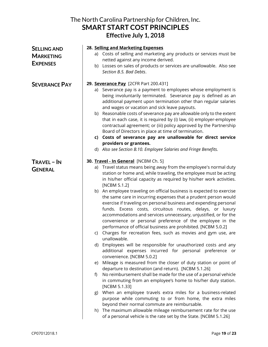| The North Carolina Partnership for Children, Inc.<br><b>SMART START COST PRINCIPLES</b><br>Effective July 1, 2018 |                                                                                                                                                                                                                                                                                                                                                                                                                                                                                                                                                                                                                                                                                                                                                                                                                                                                                                                                                                                                                                                                                                                                                                                                                                                                                                                                                                                                                                                                                                                                                                                                                                      |  |
|-------------------------------------------------------------------------------------------------------------------|--------------------------------------------------------------------------------------------------------------------------------------------------------------------------------------------------------------------------------------------------------------------------------------------------------------------------------------------------------------------------------------------------------------------------------------------------------------------------------------------------------------------------------------------------------------------------------------------------------------------------------------------------------------------------------------------------------------------------------------------------------------------------------------------------------------------------------------------------------------------------------------------------------------------------------------------------------------------------------------------------------------------------------------------------------------------------------------------------------------------------------------------------------------------------------------------------------------------------------------------------------------------------------------------------------------------------------------------------------------------------------------------------------------------------------------------------------------------------------------------------------------------------------------------------------------------------------------------------------------------------------------|--|
| <b>SELLING AND</b><br><b>MARKETING</b><br><b>EXPENSES</b>                                                         | 28. Selling and Marketing Expenses<br>a) Costs of selling and marketing any products or services must be<br>netted against any income derived.<br>Losses on sales of products or services are unallowable. Also see<br>b)<br>Section B.5. Bad Debts.                                                                                                                                                                                                                                                                                                                                                                                                                                                                                                                                                                                                                                                                                                                                                                                                                                                                                                                                                                                                                                                                                                                                                                                                                                                                                                                                                                                 |  |
| <b>SEVERANCE PAY</b>                                                                                              | 29. Severance Pay [2CFR Part 200.431]<br>a) Severance pay is a payment to employees whose employment is<br>being involuntarily terminated. Severance pay is defined as an<br>additional payment upon termination other than regular salaries<br>and wages or vacation and sick leave payouts.<br>b) Reasonable costs of severance pay are allowable only to the extent<br>that in each case, it is required by (i) law, (ii) employer-employee<br>contractual agreement; or (iii) policy approved by the Partnership<br>Board of Directors in place at time of termination.<br>c) Costs of severance pay are unallowable for direct service<br>providers or grantees.<br>d) Also see Section B.10. Employee Salaries and Fringe Benefits.                                                                                                                                                                                                                                                                                                                                                                                                                                                                                                                                                                                                                                                                                                                                                                                                                                                                                            |  |
| <b>TRAVEL - IN</b><br><b>GENERAL</b>                                                                              | 30. Travel - In General [NCBM Ch. 5]<br>Travel status means being away from the employee's normal duty<br>a)<br>station or home and, while traveling, the employee must be acting<br>in his/her official capacity as required by his/her work activities.<br>[NCBM 5.1.2]<br>b) An employee traveling on official business is expected to exercise<br>the same care in incurring expenses that a prudent person would<br>exercise if traveling on personal business and expending personal<br>funds. Excess costs, circuitous routes, delays, or luxury<br>accommodations and services unnecessary, unjustified, or for the<br>convenience or personal preference of the employee in the<br>performance of official business are prohibited. [NCBM 5.0.2]<br>Charges for recreation fees, such as movies and gym use, are<br>C)<br>unallowable.<br>d) Employees will be responsible for unauthorized costs and any<br>additional expenses incurred for personal preference or<br>convenience. [NCBM 5.0.2]<br>Mileage is measured from the closer of duty station or point of<br>e)<br>departure to destination (and return). [NCBM 5.1.26]<br>No reimbursement shall be made for the use of a personal vehicle<br>f)<br>in commuting from an employee's home to his/her duty station.<br>[NCBM 5.1.33]<br>When an employee travels extra miles for a business-related<br>g)<br>purpose while commuting to or from home, the extra miles<br>beyond their normal commute are reimbursable.<br>The maximum allowable mileage reimbursement rate for the use<br>h)<br>of a personal vehicle is the rate set by the State. [NCBM 5.1.26] |  |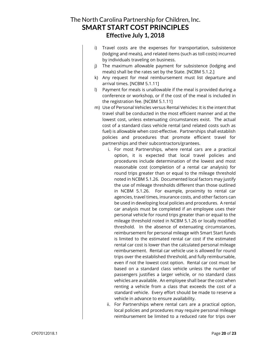- i) Travel costs are the expenses for transportation, subsistence (lodging and meals), and related items (such as toll costs) incurred by individuals traveling on business.
- j) The maximum allowable payment for subsistence (lodging and meals) shall be the rates set by the State. [NCBM 5.1.2.]
- k) Any request for meal reimbursement must list departure and arrival times. [NCBM 5.1.11]
- l) Payment for meals is unallowable if the meal is provided during a conference or workshop, or if the cost of the meal is included in the registration fee. [NCBM 5.1.11]
- m) Use of Personal Vehicles versus Rental Vehicles: It is the intent that travel shall be conducted in the most efficient manner and at the lowest cost, unless extenuating circumstances exist. The actual cost of a standard class vehicle rental (and related costs such as fuel) is allowable when cost-effective. Partnerships shall establish policies and procedures that promote efficient travel for partnerships and their subcontractors/grantees.
	- i. For most Partnerships, where rental cars are a practical option, it is expected that local travel policies and procedures include determination of the lowest and most reasonable cost (completion of a rental car analysis) for round trips greater than or equal to the mileage threshold noted in NCBM 5.1.26. Documented local factors may justify the use of mileage thresholds different than those outlined in NCBM 5.1.26. For example, proximity to rental car agencies, travel times, insurance costs, and other factors can be used in developing local policies and procedures. A rental car analysis must be completed if an employee uses their personal vehicle for round trips greater than or equal to the mileage threshold noted in NCBM 5.1.26 or locally modified threshold. In the absence of extenuating circumstances, reimbursement for personal mileage with Smart Start funds is limited to the estimated rental car cost if the estimated rental car cost is lower than the calculated personal mileage reimbursement. Rental car vehicle use is allowed for round trips over the established threshold, and fully reimbursable, even if not the lowest cost option. Rental car cost must be based on a standard class vehicle unless the number of passengers justifies a larger vehicle, or no standard class vehicles are available. An employee shall bear the cost when renting a vehicle from a class that exceeds the cost of a standard vehicle. Every effort should be made to reserve a vehicle in advance to ensure availability.
	- ii. For Partnerships where rental cars are a practical option, local policies and procedures may require personal mileage reimbursement be limited to a reduced rate for trips over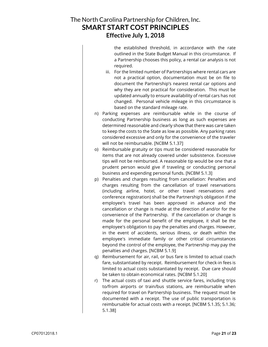the established threshold, in accordance with the rate outlined in the State Budget Manual in this circumstance. If a Partnership chooses this policy, a rental car analysis is not required.

- iii. For the limited number of Partnerships where rental cars are not a practical option, documentation must be on file to document the Partnership's nearest rental car options and why they are not practical for consideration. This must be updated annually to ensure availability of rental cars has not changed. Personal vehicle mileage in this circumstance is based on the standard mileage rate.
- n) Parking expenses are reimbursable while in the course of conducting Partnership business as long as such expenses are determined reasonable and clearly show that there was care taken to keep the costs to the State as low as possible. Any parking rates considered excessive and only for the convenience of the traveler will not be reimbursable. [NCBM 5.1.37]
- o) Reimbursable gratuity or tips must be considered reasonable for items that are not already covered under subsistence. Excessive tips will not be reimbursed. A reasonable tip would be one that a prudent person would give if traveling or conducting personal business and expending personal funds. [NCBM 5.1.3]
- p) Penalties and charges resulting from cancellation: Penalties and charges resulting from the cancellation of travel reservations (including airline, hotel, or other travel reservations and conference registration) shall be the Partnership's obligation if the employee's travel has been approved in advance and the cancellation or change is made at the direction of and/or for the convenience of the Partnership. If the cancellation or change is made for the personal benefit of the employee, it shall be the employee's obligation to pay the penalties and charges. However, in the event of accidents, serious illness, or death within the employee's immediate family or other critical circumstances beyond the control of the employee, the Partnership may pay the penalties and charges. [NCBM 5.1.9]
- q) Reimbursement for air, rail, or bus fare is limited to actual coach fare, substantiated by receipt. Reimbursement for check-in fees is limited to actual costs substantiated by receipt. Due care should be taken to obtain economical rates. [NCBM 5.1.20]
- r) The actual costs of taxi and shuttle service fares, including trips to/from airports or train/bus stations, are reimbursable when required for travel on Partnership business. The request must be documented with a receipt. The use of public transportation is reimbursable for actual costs with a receipt. [NCBM 5.1.35; 5.1.36; 5.1.38]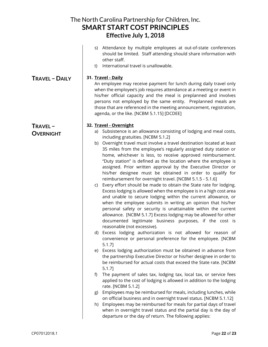| The North Carolina Partnership for Children, Inc.<br><b>SMART START COST PRINCIPLES</b><br>Effective July 1, 2018 |                                                                                                                                                                                                                                                                                                                                                                                                                                                                                                                                                                                                                                                                                                                                                                                                                                                                                                                                                                                                                                                                                                                                                                                                                                                                                                                                                                                                                                                                                                                                                                                                                                                                                                                                                                                                                                                                                                                                                                                                                                                |  |
|-------------------------------------------------------------------------------------------------------------------|------------------------------------------------------------------------------------------------------------------------------------------------------------------------------------------------------------------------------------------------------------------------------------------------------------------------------------------------------------------------------------------------------------------------------------------------------------------------------------------------------------------------------------------------------------------------------------------------------------------------------------------------------------------------------------------------------------------------------------------------------------------------------------------------------------------------------------------------------------------------------------------------------------------------------------------------------------------------------------------------------------------------------------------------------------------------------------------------------------------------------------------------------------------------------------------------------------------------------------------------------------------------------------------------------------------------------------------------------------------------------------------------------------------------------------------------------------------------------------------------------------------------------------------------------------------------------------------------------------------------------------------------------------------------------------------------------------------------------------------------------------------------------------------------------------------------------------------------------------------------------------------------------------------------------------------------------------------------------------------------------------------------------------------------|--|
|                                                                                                                   | Attendance by multiple employees at out-of-state conferences<br>S)<br>should be limited. Staff attending should share information with<br>other staff.<br>International travel is unallowable.<br>t)                                                                                                                                                                                                                                                                                                                                                                                                                                                                                                                                                                                                                                                                                                                                                                                                                                                                                                                                                                                                                                                                                                                                                                                                                                                                                                                                                                                                                                                                                                                                                                                                                                                                                                                                                                                                                                           |  |
| <b>TRAVEL - DAILY</b>                                                                                             | 31. Travel - Daily<br>An employee may receive payment for lunch during daily travel only<br>when the employee's job requires attendance at a meeting or event in<br>his/her official capacity and the meal is preplanned and involves<br>persons not employed by the same entity. Preplanned meals are<br>those that are referenced in the meeting announcement, registration,<br>agenda, or the like. [NCBM 5.1.15] [DCDEE]                                                                                                                                                                                                                                                                                                                                                                                                                                                                                                                                                                                                                                                                                                                                                                                                                                                                                                                                                                                                                                                                                                                                                                                                                                                                                                                                                                                                                                                                                                                                                                                                                   |  |
| TRAVEL-<br><b>OVERNIGHT</b>                                                                                       | 32. Travel - Overnight<br>a) Subsistence is an allowance consisting of lodging and meal costs,<br>including gratuities. [NCBM 5.1.2]<br>Overnight travel must involve a travel destination located at least<br>b)<br>35 miles from the employee's regularly assigned duty station or<br>home, whichever is less, to receive approved reimbursement.<br>"Duty station" is defined as the location where the employee is<br>assigned. Prior written approval by the Executive Director or<br>his/her designee must be obtained in order to qualify for<br>reimbursement for overnight travel. [NCBM 5.1.5 - 5.1.6]<br>Every effort should be made to obtain the State rate for lodging.<br>C)<br>Excess lodging is allowed when the employee is in a high cost area<br>and unable to secure lodging within the current allowance, or<br>when the employee submits in writing an opinion that his/her<br>personal safety or security is unattainable within the current<br>allowance. [NCBM 5.1.7] Excess lodging may be allowed for other<br>documented legitimate business purposes, if the cost is<br>reasonable (not excessive).<br>Excess lodging authorization is not allowed for reason of<br>d)<br>convenience or personal preference for the employee. [NCBM<br>$5.1.7$ ]<br>Excess lodging authorization must be obtained in advance from<br>e)<br>the partnership Executive Director or his/her designee in order to<br>be reimbursed for actual costs that exceed the State rate. [NCBM<br>$5.1.7$ ]<br>The payment of sales tax, lodging tax, local tax, or service fees<br>f)<br>applied to the cost of lodging is allowed in addition to the lodging<br>rate. [NCBM 5.1.2]<br>Employees may be reimbursed for meals, including lunches, while<br>g)<br>on official business and in overnight travel status. [NCBM 5.1.12]<br>Employees may be reimbursed for meals for partial days of travel<br>h)<br>when in overnight travel status and the partial day is the day of<br>departure or the day of return. The following applies: |  |